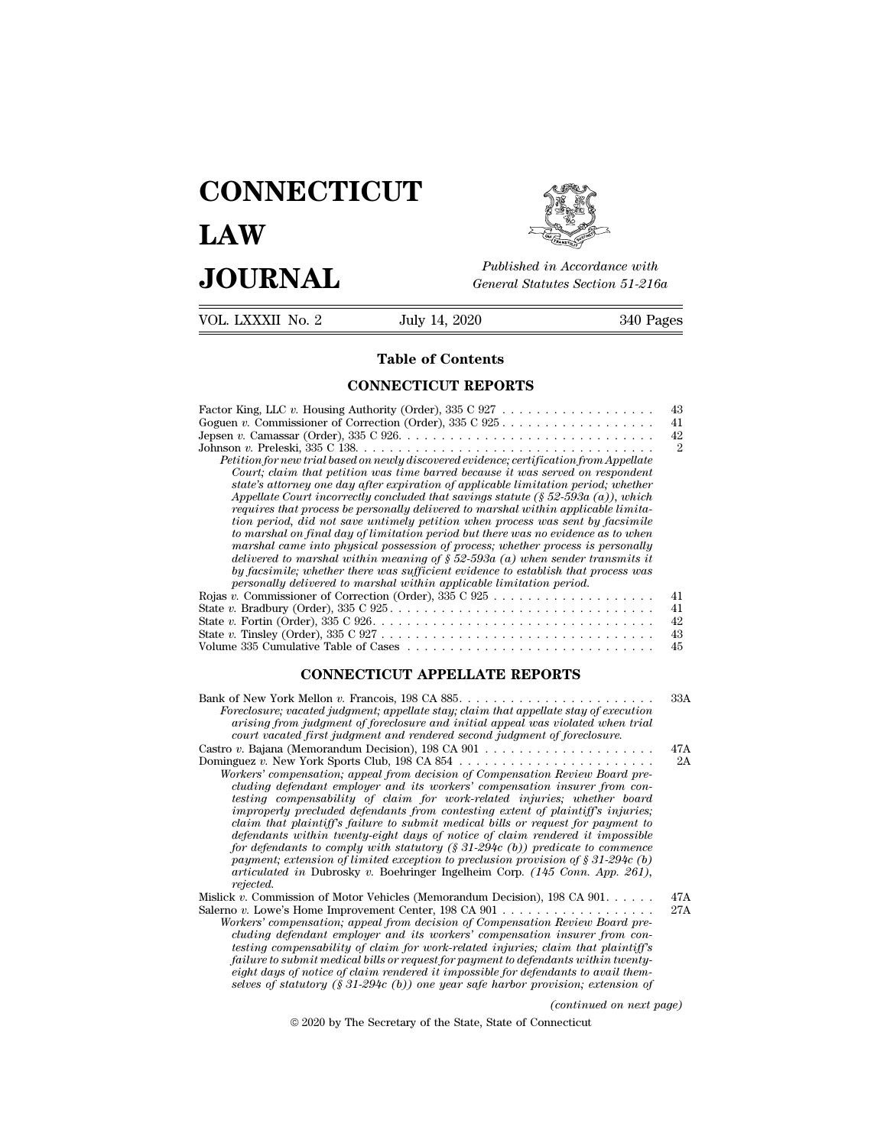## **CONNECTICUT LAW PUBLICE CONNECTICUT**<br> **Published in Accordance with**<br> **JOURNAL** *General Statutes Section 51-216a*<br> **Published in Accordance with**  $\begin{array}{cc}\n\textbf{LAW} & \overbrace{\text{Fubble} \text{m} \text{m}}\n\end{array}$ <br>  $\begin{array}{cc}\n\textbf{JOL RNAL} & \text{Published in According to the General Statistics Section 51-216a} \\
\hline\n\text{VOL LXXXII No. 2} & \text{July 14, 2020} & \text{340 Pages}\n\end{array}$



Published in A.<br>
General Statutes<br> **Table of Contents<br>
INECTICUT REPORTS** 

| JUUKNAL           | General Statutes Section 51-216a                                                                                                                                                                                                                                                                                                                                                                                                                                                                                                                                                                                                                                                                                                                                                                                                                                                                                                                                                                                                                                                                                                                                                                                                                                                                                                        |                                                    |
|-------------------|-----------------------------------------------------------------------------------------------------------------------------------------------------------------------------------------------------------------------------------------------------------------------------------------------------------------------------------------------------------------------------------------------------------------------------------------------------------------------------------------------------------------------------------------------------------------------------------------------------------------------------------------------------------------------------------------------------------------------------------------------------------------------------------------------------------------------------------------------------------------------------------------------------------------------------------------------------------------------------------------------------------------------------------------------------------------------------------------------------------------------------------------------------------------------------------------------------------------------------------------------------------------------------------------------------------------------------------------|----------------------------------------------------|
| VOL. LXXXII No. 2 | July 14, 2020                                                                                                                                                                                                                                                                                                                                                                                                                                                                                                                                                                                                                                                                                                                                                                                                                                                                                                                                                                                                                                                                                                                                                                                                                                                                                                                           | 340 Pages                                          |
|                   | <b>Table of Contents</b>                                                                                                                                                                                                                                                                                                                                                                                                                                                                                                                                                                                                                                                                                                                                                                                                                                                                                                                                                                                                                                                                                                                                                                                                                                                                                                                |                                                    |
|                   | <b>CONNECTICUT REPORTS</b>                                                                                                                                                                                                                                                                                                                                                                                                                                                                                                                                                                                                                                                                                                                                                                                                                                                                                                                                                                                                                                                                                                                                                                                                                                                                                                              |                                                    |
|                   | Goguen v. Commissioner of Correction (Order), $335 \text{ C } 925 \ldots \ldots \ldots \ldots \ldots \ldots$<br>Petition for new trial based on newly discovered evidence; certification from Appellate<br>Court; claim that petition was time barred because it was served on respondent<br>state's attorney one day after expiration of applicable limitation period; whether<br>Appellate Court incorrectly concluded that savings statute $(\S 52-593a (a))$ , which<br>requires that process be personally delivered to marshal within applicable limita-<br>tion period, did not save untimely petition when process was sent by facsimile<br>to marshal on final day of limitation period but there was no evidence as to when<br>marshal came into physical possession of process; whether process is personally<br>delivered to marshal within meaning of $\S 52-593a$ (a) when sender transmits it<br>by facsimile; whether there was sufficient evidence to establish that process was<br>personally delivered to marshal within applicable limitation period.<br>State v. Bradbury (Order), $335 \text{ C } 925 \ldots \ldots \ldots \ldots \ldots \ldots \ldots \ldots \ldots \ldots \ldots$<br>State v. Fortin (Order), $335 \text{ C } 926 \ldots \ldots \ldots \ldots \ldots \ldots \ldots \ldots \ldots \ldots \ldots$ | 43<br>41<br>42<br>$\overline{2}$<br>41<br>41<br>42 |
|                   | State v. Tinsley (Order), $335 \text{ C } 927 \ldots \ldots \ldots \ldots \ldots \ldots \ldots \ldots \ldots \ldots$<br>Volume 335 Cumulative Table of Cases                                                                                                                                                                                                                                                                                                                                                                                                                                                                                                                                                                                                                                                                                                                                                                                                                                                                                                                                                                                                                                                                                                                                                                            | 43<br>45                                           |
|                   | <b>CONNECTICUT APPELLATE REPORTS</b>                                                                                                                                                                                                                                                                                                                                                                                                                                                                                                                                                                                                                                                                                                                                                                                                                                                                                                                                                                                                                                                                                                                                                                                                                                                                                                    | 33A                                                |
|                   | Bank of New York Mellon v. Francois, 198 CA 885.<br>Foreclosure; vacated judgment; appellate stay; claim that appellate stay of execution<br>arising from judgment of foreclosure and initial appeal was violated when trial<br>court vacated first judgment and rendered second judgment of foreclosure.                                                                                                                                                                                                                                                                                                                                                                                                                                                                                                                                                                                                                                                                                                                                                                                                                                                                                                                                                                                                                               |                                                    |
|                   | Castro v. Bajana (Memorandum Decision), 198 CA 901 $\dots \dots \dots \dots \dots \dots \dots \dots$<br>Workers' compensation; appeal from decision of Compensation Review Board pre-<br>cluding defendant employer and its workers' compensation insurer from con-<br>testing compensability of claim for work-related injuries; whether board<br><i>improperly precluded defendants from contesting extent of plaintiffs injuries:</i>                                                                                                                                                                                                                                                                                                                                                                                                                                                                                                                                                                                                                                                                                                                                                                                                                                                                                                | 47A<br>2A                                          |

Castro *v*. Bajana (Memorandum Decision), 198 CA 901<br> *bominguez v. New York Sports Club, 198 CA 854*<br> *Workers' compensation insurer from concluding defendant employer and its workers' compensation insurer from concluding instring from judgment of foreclosure and intitial appear was violated when trial excourt vacated first judgment and rendered second judgment of foreclosure*<br> *v.* Bajana (Memorandum Decision), 198 CA 891<br> *v.* The second *claim that plaintiff's failure to submit medical bills or request for payment to defendants within twenty-eight days of notice of claim rendered it impossible for defendants to comply with statutory (§ 31-294c (b)) predicate to commence primality compensation; appeal from decision of Compensation Review Board precluding defendant employer and its workers' compensation insurer from contesting compensation insurer from to work-related injuries; whether boa cluding defendant employer and its workers' compensation insurer from contesting compensability of claim for work-related injuries; whether board infuriong extent of plaintiff's failure to submit medical bills or request rejected.* myroperty preculaed algendants from contesting extent of platitity's infuries;<br>claim that plaintiff's failure to submit medical bills or request for payment to<br>defendants to infusive data of notice of claim rendered it imp Exam that plainty is jauthe to submit medical buts or request for payment to<br>defendants within twenty-eight days of notice of claim rendered it impossible<br>for defendants to comply with statutory (§ 31-294c (b)) predicate t *Moreof defendants winnin twenty-eight days of notice of carm rendered it impossible for defendants to comply with statutory (§ 31-294c (b)) predicate to commence payment; extension of limited exception to preclusion provi compenent; extension of limited exception to preclusion provision of*  $\S$  31-294c (*b) carticulated in Dubrosky v. Boehringer Ingelheim Corp.* (145 *Conn. App. 261)*, *carticulated in Dubrosky v. Boehringer Ingelheim Co* 

| Mislick v. Commission of Motor Vehicles (Memorandum Decision), $198$ CA $901$ | 47A |
|-------------------------------------------------------------------------------|-----|
|                                                                               | 27A |
| Workers' compensation: appeal from decision of Compensation Review Board pre- |     |

*testing compensability of claim relation to precussion provision of s* 31-294c (*o)*<br>*trejected.*<br>*testing compensation* of Motor Vehicles (Memorandum Decision), 198 CA 901....... 47A<br>o v. Lowe's Home Improvement Center, *frailure to submit mediant employer in the controlling to the controlline to the commission of Motor Vehicles (Memorandum Decision), 198 CA 901.*<br> *for the submit mediant employer and its workers' compensation Review Boar eight days of notice of claim rendered it impossible for defendants to avail themselves of statutory (§ 31-294c (b)) one year safe harbor provision; extension of (Review Board pre-*<br>*insurer from con-*<br>*iam that plaintiff's*<br>*dants to avail them-<br>vision; extension of*<br>*(continued on next page)*<br>necticut endant employer and its workers compensation insure-<br>pensability of claim for work-related injuries; claim that<br>impressible joint medical bills or request for payment to defendants with<br>of notice of claim rendered it impo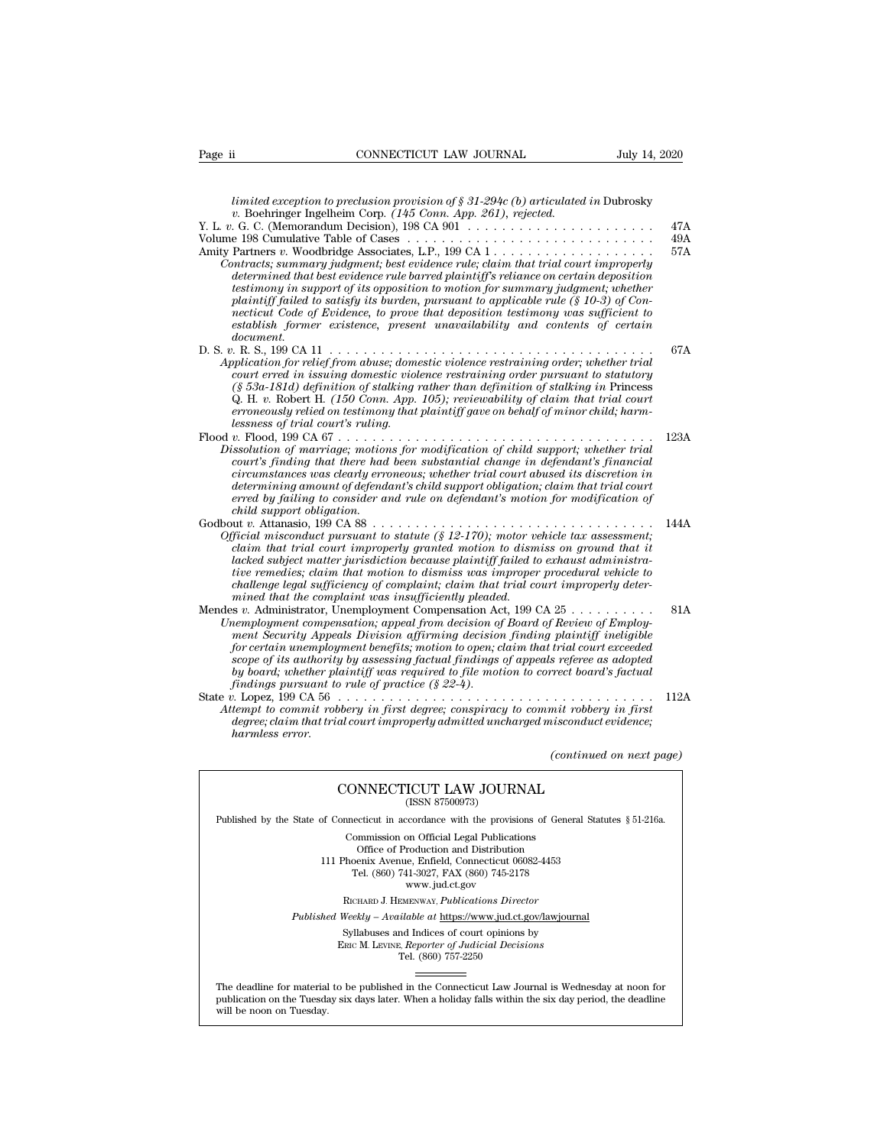| Page ii                           | CONNECTICUT LAW JOURNAL                                                                                                                                                                                                                                                                                                                                                                                                                                                                                                                                       | July 14, 2020            |
|-----------------------------------|---------------------------------------------------------------------------------------------------------------------------------------------------------------------------------------------------------------------------------------------------------------------------------------------------------------------------------------------------------------------------------------------------------------------------------------------------------------------------------------------------------------------------------------------------------------|--------------------------|
|                                   |                                                                                                                                                                                                                                                                                                                                                                                                                                                                                                                                                               |                          |
|                                   | limited exception to preclusion provision of $\S 31-294c$ (b) articulated in Dubrosky<br>v. Boehringer Ingelheim Corp. (145 Conn. App. 261), rejected.                                                                                                                                                                                                                                                                                                                                                                                                        |                          |
|                                   |                                                                                                                                                                                                                                                                                                                                                                                                                                                                                                                                                               | 47A                      |
|                                   |                                                                                                                                                                                                                                                                                                                                                                                                                                                                                                                                                               | 49A                      |
| document.                         | Contracts; summary judgment; best evidence rule; claim that trial court improperly<br>determined that best evidence rule barred plaintiff's reliance on certain deposition<br>testimony in support of its opposition to motion for summary judgment; whether<br>plaintiff failed to satisfy its burden, pursuant to applicable rule $(\S 10-3)$ of Con-<br>necticut Code of Evidence, to prove that deposition testimony was sufficient to<br>establish former existence, present unavailability and contents of certain                                      | 57A                      |
| lessness of trial court's ruling. | Application for relief from abuse; domestic violence restraining order; whether trial<br>court erred in issuing domestic violence restraining order pursuant to statutory<br>$(\S 53a-181d)$ definition of stalking rather than definition of stalking in Princess<br>Q. H. v. Robert H. (150 Conn. App. 105); reviewability of claim that trial court<br>erroneously relied on testimony that plaintiff gave on behalf of minor child; harm-                                                                                                                 | 67A                      |
| child support obligation.         | Dissolution of marriage; motions for modification of child support; whether trial<br>court's finding that there had been substantial change in defendant's financial<br>circumstances was clearly erroneous; whether trial court abused its discretion in<br>determining amount of defendant's child support obligation; claim that trial court<br>erred by failing to consider and rule on defendant's motion for modification of                                                                                                                            | 123A                     |
|                                   | Official misconduct pursuant to statute $(\S 12-170)$ ; motor vehicle tax assessment;<br>claim that trial court improperly granted motion to dismiss on ground that it<br>lacked subject matter jurisdiction because plaintiff failed to exhaust administra-<br>tive remedies; claim that motion to dismiss was improper procedural vehicle to<br>challenge legal sufficiency of complaint; claim that trial court improperly deter-<br>mined that the complaint was insufficiently pleaded.                                                                  | 144A                     |
|                                   | Mendes v. Administrator, Unemployment Compensation Act, 199 CA 25<br>Unemployment compensation; appeal from decision of Board of Review of Employ-<br>ment Security Appeals Division affirming decision finding plaintiff ineligible<br>for certain unemployment benefits; motion to open; claim that trial court exceeded<br>scope of its authority by assessing factual findings of appeals referee as adopted<br>by board; whether plaintiff was required to file motion to correct board's factual<br>findings pursuant to rule of practice $(\S 22-4)$ . | 81A                      |
| harmless error.                   | Attempt to commit robbery in first degree; conspiracy to commit robbery in first<br>degree; claim that trial court improperly admitted uncharged misconduct evidence;                                                                                                                                                                                                                                                                                                                                                                                         | 112A                     |
|                                   |                                                                                                                                                                                                                                                                                                                                                                                                                                                                                                                                                               | (continued on next page) |
|                                   | CONNECTICUT LAW JOURNAL<br>(ISSN 87500973)                                                                                                                                                                                                                                                                                                                                                                                                                                                                                                                    |                          |
|                                   | Published by the State of Connecticut in accordance with the provisions of General Statutes § 51-216a.                                                                                                                                                                                                                                                                                                                                                                                                                                                        |                          |
|                                   | Commission on Official Legal Publications                                                                                                                                                                                                                                                                                                                                                                                                                                                                                                                     |                          |
|                                   |                                                                                                                                                                                                                                                                                                                                                                                                                                                                                                                                                               |                          |

CONNECTICUT LAW JOURNAL<br>
(ISSN 87500973)<br>
inecticut in accordance with the provisions of Gener<br>
Commission on Official Legal Publications<br>
Office of Production and Distribution<br>
office of Production and Distribution **NNECTICUT LAW JOURNAL**<br>
(ISSN 87500973)<br>
cticut in accordance with the provisions of Gener<br>
mmission on Official Legal Publications<br>
Office of Production and Distribution<br>
centra Avenue, Enfield, Connecticut 06082-4453<br>
b CONNECTICUT LAW JOURNAL<br>
(ISSN 87500973)<br>
of Connecticut in accordance with the provisions of General Statu<br>
Commission on Official Legal Publications<br>
Office of Production and Distribution<br>
111 Phoenix Avenue, Enfield, Co (ISSN 87500973)<br>ecticut in accordance with the provisions of Gener<br>ommission on Official Legal Publications<br>Office of Production and Distribution<br>oenix Avenue, Enfield, Connecticut 06082-4453<br>Tel. (860) 741-3027, FAX (860 reordance with the provision<br>on Official Legal Publication<br>roduction and Distribution<br>e, Enfield, Connecticut 06<br>11-3027, FAX (860) 745-21'<br>www.jud.ct.gov<br>zENWAY, *Publications Dire* Rommission on Official Legal Publications<br>
Office of Production and Distribution<br>
Phoenix Avenue, Enfield, Connecticut 06082-4453<br>
Tel. (860) 741-3027, FAX (860) 745-2178<br>
www.jud.ct.gov<br>
RICHARD J. HEMENWAY, *Publications* Office of Production and Distribution<br>
111 Phoenix Avenue, Enfield, Connecticut 06082-4453<br>
Tel. (860) 741-3027, FAX (860) 745-2178<br>
www.jud.ct.gov<br>
RICHARD J. HEMENWAY, *Publications Director*<br> *Published Weekly – Availab* Phoenix Avenue, Enfield, Connecticut 06082-4453<br>
Tel. (860) 741-3027, FAX (860) 745-2178<br>
www.jud.ct.gov<br>
RICHARD J. HEMENWAY, *Publications Director*<br>
Weekly – Available at <u>https://www.jud.ct.gov/lawjourna</u><br>
Syllabuses a

Tel. (860) 757-2250

Published Weekly – Available at https://www.jud.ct.gov/lawjournal<br>Syllabuses and Indices of court opinions by<br>ERIC M. LEVINE, Reporter of Judicial Decisions<br>The deadline for material to be published in the Connecticut Law  $\begin{tabular}{l} \bf Syllabuses\ and\ Indices\ of\ court\ opinions\ by\\ \bf Enc\ M.\ LevINE,\ \textit{Reporter of\ Judicial\ Decisions}\\ \bf Tel.\ (860)\ 757-2250\\ \end{tabular}$  <br> The deadline for material to be published in the Connecticut Law Journal is Wednesday at noon for publication on the Tuesday six days later The deadline for material to be published in the Connecticut Law Journal is Wednesday at noon for publication on the Tuesday six days later. When a holiday falls within the six day period, the deadline will be noon on Tues